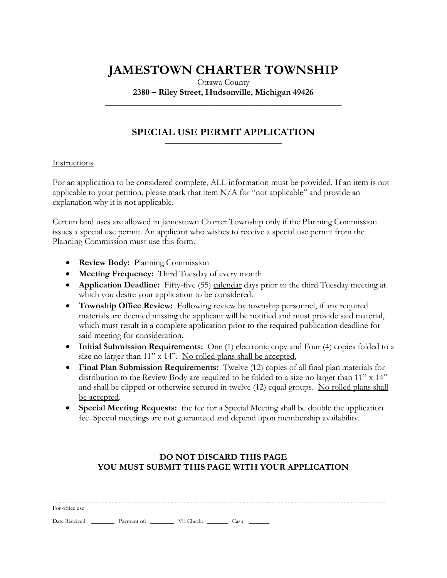## **JAMESTOWN CHARTER TOWNSHIP**

Ottawa County **2380 – Riley Street, Hudsonville, Michigan 49426**

**\_\_\_\_\_\_\_\_\_\_\_\_\_\_\_\_\_\_\_\_\_\_\_\_\_\_\_\_\_\_\_\_\_\_\_\_\_\_\_\_\_\_\_\_\_\_\_\_\_\_\_\_\_\_**

#### **SPECIAL USE PERMIT APPLICATION** \_\_\_\_\_\_\_\_\_\_\_\_\_\_\_\_\_\_\_\_\_\_\_\_\_\_\_\_\_\_\_\_\_\_\_\_\_\_\_\_

### Instructions

For an application to be considered complete, ALL information must be provided. If an item is not applicable to your petition, please mark that item N/A for "not applicable" and provide an explanation why it is not applicable.

Certain land uses are allowed in Jamestown Charter Township only if the Planning Commission issues a special use permit. An applicant who wishes to receive a special use permit from the Planning Commission must use this form.

- **Review Body:** Planning Commission
- **Meeting Frequency:** Third Tuesday of every month
- **Application Deadline:** Fifty-five (55) calendar days prior to the third Tuesday meeting at which you desire your application to be considered.
- **Township Office Review:** Following review by township personnel, if any required materials are deemed missing the applicant will be notified and must provide said material, which must result in a complete application prior to the required publication deadline for said meeting for consideration.
- **Initial Submission Requirements:** One (1) electronic copy and Four (4) copies folded to a size no larger than 11" x 14". No rolled plans shall be accepted.
- **Final Plan Submission Requirements:** Twelve (12) copies of all final plan materials for distribution to the Review Body are required to be folded to a size no larger than 11" x 14" and shall be clipped or otherwise secured in twelve (12) equal groups. No rolled plans shall be accepted.
- **Special Meeting Requests:** the fee for a Special Meeting shall be double the application fee. Special meetings are not guaranteed and depend upon membership availability.

### **DO NOT DISCARD THIS PAGE YOU MUST SUBMIT THIS PAGE WITH YOUR APPLICATION**

| For office use                              |  |  |  |  |  |  |  |
|---------------------------------------------|--|--|--|--|--|--|--|
| Date Received: Payment of: Via Check: Cash: |  |  |  |  |  |  |  |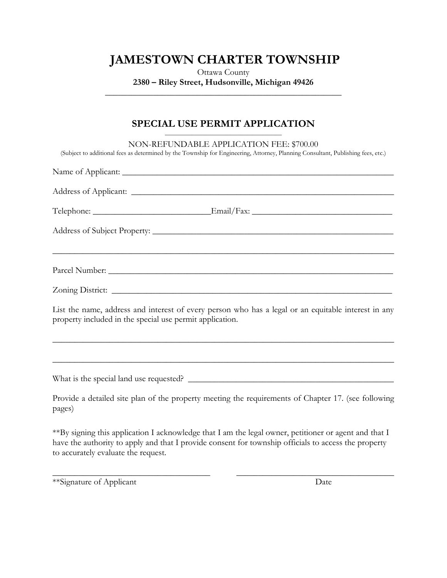# **JAMESTOWN CHARTER TOWNSHIP**

Ottawa County **2380 – Riley Street, Hudsonville, Michigan 49426 \_\_\_\_\_\_\_\_\_\_\_\_\_\_\_\_\_\_\_\_\_\_\_\_\_\_\_\_\_\_\_\_\_\_\_\_\_\_\_\_\_\_\_\_\_\_\_\_\_\_\_\_\_\_**

## **SPECIAL USE PERMIT APPLICATION**

| NON-REFUNDABLE APPLICATION FEE: \$700.00<br>(Subject to additional fees as determined by the Township for Engineering, Attorney, Planning Consultant, Publishing fees, etc.) |
|------------------------------------------------------------------------------------------------------------------------------------------------------------------------------|
|                                                                                                                                                                              |
|                                                                                                                                                                              |
|                                                                                                                                                                              |
|                                                                                                                                                                              |
|                                                                                                                                                                              |
| Zoning District:                                                                                                                                                             |
| List the name, address and interest of every person who has a legal or an equitable interest in any<br>property included in the special use permit application.              |
| ,我们也不能在这里的人,我们也不能在这里的人,我们也不能在这里的人,我们也不能在这里的人,我们也不能在这里的人,我们也不能在这里的人,我们也不能在这里的人,我们也<br>,我们也不能在这里的时候,我们也不能在这里的时候,我们也不能不能不能不能不能不能不能不能不能不能不能不能不能不能不能。""我们的是我们的,我们也不能不能不能不能        |
|                                                                                                                                                                              |
| Provide a detailed site plan of the property meeting the requirements of Chapter 17. (see following<br>pages)                                                                |
| $**Ry$ gives the evolution Legislation Legislation that Lem the legal owner positioner or exact and that L                                                                   |

\*\*By signing this application I acknowledge that I am the legal owner, petitioner or agent and that I have the authority to apply and that I provide consent for township officials to access the property to accurately evaluate the request.

\_\_\_\_\_\_\_\_\_\_\_\_\_\_\_\_\_\_\_\_\_\_\_\_\_\_\_\_\_\_\_\_\_\_\_\_ \_\_\_\_\_\_\_\_\_\_\_\_\_\_\_\_\_\_\_\_\_\_\_\_\_\_\_\_\_\_\_\_\_\_\_\_

\*\*Signature of Applicant Date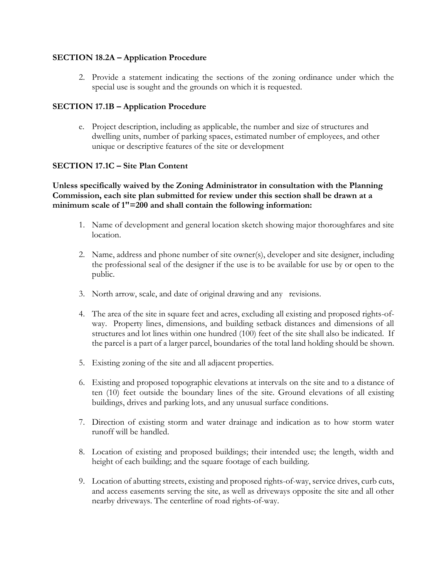### **SECTION 18.2A – Application Procedure**

2. Provide a statement indicating the sections of the zoning ordinance under which the special use is sought and the grounds on which it is requested.

### **SECTION 17.1B – Application Procedure**

e. Project description, including as applicable, the number and size of structures and dwelling units, number of parking spaces, estimated number of employees, and other unique or descriptive features of the site or development

### **SECTION 17.1C – Site Plan Content**

### **Unless specifically waived by the Zoning Administrator in consultation with the Planning Commission, each site plan submitted for review under this section shall be drawn at a minimum scale of 1"=200 and shall contain the following information:**

- 1. Name of development and general location sketch showing major thoroughfares and site location.
- 2. Name, address and phone number of site owner(s), developer and site designer, including the professional seal of the designer if the use is to be available for use by or open to the public.
- 3. North arrow, scale, and date of original drawing and any revisions.
- 4. The area of the site in square feet and acres, excluding all existing and proposed rights-ofway. Property lines, dimensions, and building setback distances and dimensions of all structures and lot lines within one hundred (100) feet of the site shall also be indicated. If the parcel is a part of a larger parcel, boundaries of the total land holding should be shown.
- 5. Existing zoning of the site and all adjacent properties.
- 6. Existing and proposed topographic elevations at intervals on the site and to a distance of ten (10) feet outside the boundary lines of the site. Ground elevations of all existing buildings, drives and parking lots, and any unusual surface conditions.
- 7. Direction of existing storm and water drainage and indication as to how storm water runoff will be handled.
- 8. Location of existing and proposed buildings; their intended use; the length, width and height of each building; and the square footage of each building.
- 9. Location of abutting streets, existing and proposed rights-of-way, service drives, curb cuts, and access easements serving the site, as well as driveways opposite the site and all other nearby driveways. The centerline of road rights-of-way.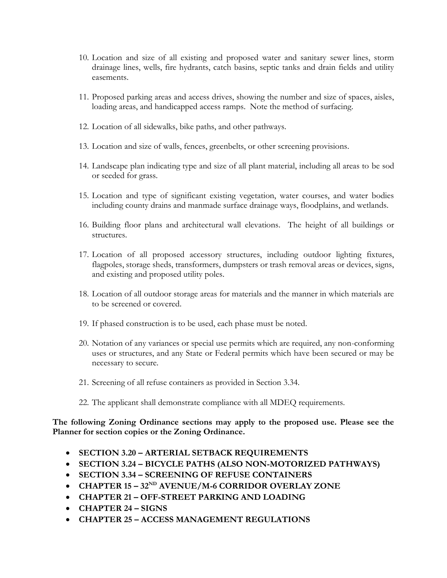- 10. Location and size of all existing and proposed water and sanitary sewer lines, storm drainage lines, wells, fire hydrants, catch basins, septic tanks and drain fields and utility easements.
- 11. Proposed parking areas and access drives, showing the number and size of spaces, aisles, loading areas, and handicapped access ramps. Note the method of surfacing.
- 12. Location of all sidewalks, bike paths, and other pathways.
- 13. Location and size of walls, fences, greenbelts, or other screening provisions.
- 14. Landscape plan indicating type and size of all plant material, including all areas to be sod or seeded for grass.
- 15. Location and type of significant existing vegetation, water courses, and water bodies including county drains and manmade surface drainage ways, floodplains, and wetlands.
- 16. Building floor plans and architectural wall elevations. The height of all buildings or structures.
- 17. Location of all proposed accessory structures, including outdoor lighting fixtures, flagpoles, storage sheds, transformers, dumpsters or trash removal areas or devices, signs, and existing and proposed utility poles.
- 18. Location of all outdoor storage areas for materials and the manner in which materials are to be screened or covered.
- 19. If phased construction is to be used, each phase must be noted.
- 20. Notation of any variances or special use permits which are required, any non-conforming uses or structures, and any State or Federal permits which have been secured or may be necessary to secure.
- 21. Screening of all refuse containers as provided in Section 3.34.
- 22. The applicant shall demonstrate compliance with all MDEQ requirements.

**The following Zoning Ordinance sections may apply to the proposed use. Please see the Planner for section copies or the Zoning Ordinance.**

- **SECTION 3.20 – ARTERIAL SETBACK REQUIREMENTS**
- **SECTION 3.24 – BICYCLE PATHS (ALSO NON-MOTORIZED PATHWAYS)**
- **SECTION 3.34 – SCREENING OF REFUSE CONTAINERS**
- **CHAPTER 15 – 32ND AVENUE/M-6 CORRIDOR OVERLAY ZONE**
- **CHAPTER 21 – OFF-STREET PARKING AND LOADING**
- **CHAPTER 24 – SIGNS**
- **CHAPTER 25 – ACCESS MANAGEMENT REGULATIONS**